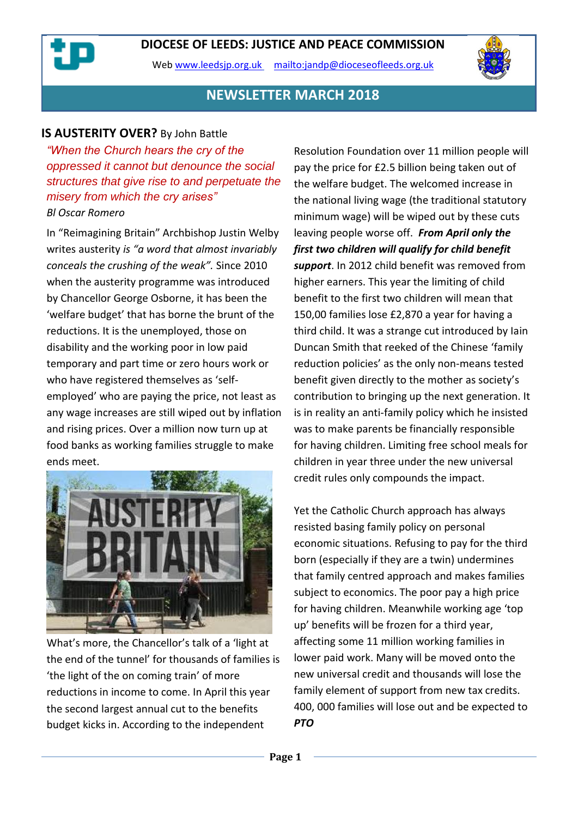Web [www.leedsjp.org.uk](http://www.leedsjp.org.uk/) <mailto:jandp@dioceseofleeds.org.uk>



### **NEWSLETTER MARCH 2018**

#### **IS AUSTERITY OVER?** By John Battle

*"When the Church hears the cry of the oppressed it cannot but denounce the social structures that give rise to and perpetuate the misery from which the cry arises" Bl Oscar Romero*

In "Reimagining Britain" Archbishop Justin Welby writes austerity *is "a word that almost invariably conceals the crushing of the weak".* Since 2010 when the austerity programme was introduced by Chancellor George Osborne, it has been the 'welfare budget' that has borne the brunt of the reductions. It is the unemployed, those on disability and the working poor in low paid temporary and part time or zero hours work or who have registered themselves as 'selfemployed' who are paying the price, not least as any wage increases are still wiped out by inflation and rising prices. Over a million now turn up at food banks as working families struggle to make ends meet.



What's more, the Chancellor's talk of a 'light at the end of the tunnel' for thousands of families is 'the light of the on coming train' of more reductions in income to come. In April this year the second largest annual cut to the benefits budget kicks in. According to the independent

Resolution Foundation over 11 million people will pay the price for £2.5 billion being taken out of the welfare budget. The welcomed increase in the national living wage (the traditional statutory minimum wage) will be wiped out by these cuts leaving people worse off. *From April only the first two children will qualify for child benefit support*. In 2012 child benefit was removed from higher earners. This year the limiting of child benefit to the first two children will mean that 150,00 families lose £2,870 a year for having a third child. It was a strange cut introduced by Iain Duncan Smith that reeked of the Chinese 'family reduction policies' as the only non-means tested benefit given directly to the mother as society's contribution to bringing up the next generation. It is in reality an anti-family policy which he insisted was to make parents be financially responsible for having children. Limiting free school meals for children in year three under the new universal credit rules only compounds the impact.

Yet the Catholic Church approach has always resisted basing family policy on personal economic situations. Refusing to pay for the third born (especially if they are a twin) undermines that family centred approach and makes families subject to economics. The poor pay a high price for having children. Meanwhile working age 'top up' benefits will be frozen for a third year, affecting some 11 million working families in lower paid work. Many will be moved onto the new universal credit and thousands will lose the family element of support from new tax credits. 400, 000 families will lose out and be expected to *PTO*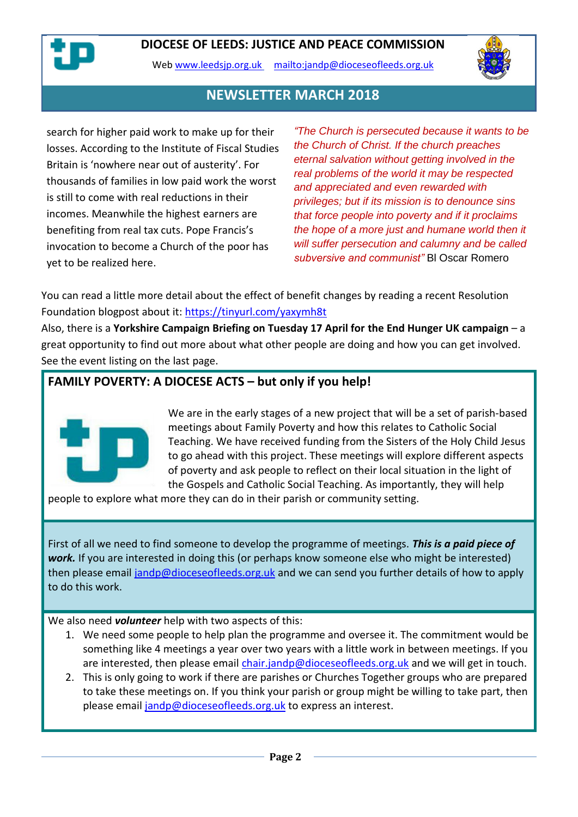



### **NEWSLETTER MARCH 2018**

search for higher paid work to make up for their losses. According to the Institute of Fiscal Studies Britain is 'nowhere near out of austerity'. For thousands of families in low paid work the worst is still to come with real reductions in their incomes. Meanwhile the highest earners are benefiting from real tax cuts. Pope Francis's invocation to become a Church of the poor has yet to be realized here.

*"The Church is persecuted because it wants to be the Church of Christ. If the church preaches eternal salvation without getting involved in the real problems of the world it may be respected and appreciated and even rewarded with privileges; but if its mission is to denounce sins that force people into poverty and if it proclaims the hope of a more just and humane world then it will suffer persecution and calumny and be called subversive and communist"* Bl Oscar Romero

You can read a little more detail about the effect of benefit changes by reading a recent Resolution Foundation blogpost about it:<https://tinyurl.com/yaxymh8t>

Also, there is a **Yorkshire Campaign Briefing on Tuesday 17 April for the End Hunger UK campaign** – a great opportunity to find out more about what other people are doing and how you can get involved. See the event listing on the last page.

### **FAMILY POVERTY: A DIOCESE ACTS – but only if you help!**



We are in the early stages of a new project that will be a set of parish-based meetings about Family Poverty and how this relates to Catholic Social Teaching. We have received funding from the Sisters of the Holy Child Jesus to go ahead with this project. These meetings will explore different aspects of poverty and ask people to reflect on their local situation in the light of the Gospels and Catholic Social Teaching. As importantly, they will help

people to explore what more they can do in their parish or community setting.

First of all we need to find someone to develop the programme of meetings. *This is a paid piece of work.* If you are interested in doing this (or perhaps know someone else who might be interested) then please email [jandp@dioceseofleeds.org.uk](mailto:jandp@dioceseofleeds.org.uk) and we can send you further details of how to apply to do this work.

We also need *volunteer* help with two aspects of this:

- 1. We need some people to help plan the programme and oversee it. The commitment would be something like 4 meetings a year over two years with a little work in between meetings. If you are interested, then please email [chair.jandp@dioceseofleeds.org.uk](mailto:chair.jandp@dioceseofleeds.org.uk) and we will get in touch.
- 2. This is only going to work if there are parishes or Churches Together groups who are prepared to take these meetings on. If you think your parish or group might be willing to take part, then please email [jandp@dioceseofleeds.org.uk](mailto:jandp@dioceseofleeds.org.uk) to express an interest.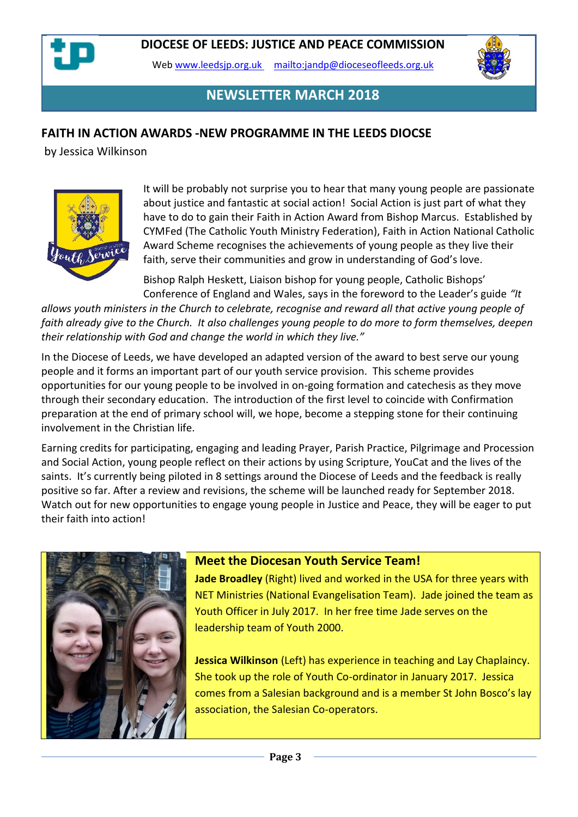

Web [www.leedsjp.org.uk](http://www.leedsjp.org.uk/) <mailto:jandp@dioceseofleeds.org.uk>



## **NEWSLETTER MARCH 2018**

### **FAITH IN ACTION AWARDS -NEW PROGRAMME IN THE LEEDS DIOCSE**

by Jessica Wilkinson



It will be probably not surprise you to hear that many young people are passionate about justice and fantastic at social action! Social Action is just part of what they have to do to gain their Faith in Action Award from Bishop Marcus. Established by CYMFed (The Catholic Youth Ministry Federation), Faith in Action National Catholic Award Scheme recognises the achievements of young people as they live their faith, serve their communities and grow in understanding of God's love.

Bishop Ralph Heskett, Liaison bishop for young people, Catholic Bishops' Conference of England and Wales, says in the foreword to the Leader's guide *"It* 

*allows youth ministers in the Church to celebrate, recognise and reward all that active young people of faith already give to the Church. It also challenges young people to do more to form themselves, deepen their relationship with God and change the world in which they live."*

In the Diocese of Leeds, we have developed an adapted version of the award to best serve our young people and it forms an important part of our youth service provision. This scheme provides opportunities for our young people to be involved in on-going formation and catechesis as they move through their secondary education. The introduction of the first level to coincide with Confirmation preparation at the end of primary school will, we hope, become a stepping stone for their continuing involvement in the Christian life.

Earning credits for participating, engaging and leading Prayer, Parish Practice, Pilgrimage and Procession and Social Action, young people reflect on their actions by using Scripture, YouCat and the lives of the saints. It's currently being piloted in 8 settings around the Diocese of Leeds and the feedback is really positive so far. After a review and revisions, the scheme will be launched ready for September 2018. Watch out for new opportunities to engage young people in Justice and Peace, they will be eager to put their faith into action!



#### **Meet the Diocesan Youth Service Team!**

**Jade Broadley** (Right) lived and worked in the USA for three years with NET Ministries (National Evangelisation Team). Jade joined the team as Youth Officer in July 2017. In her free time Jade serves on the leadership team of Youth 2000.

**Jessica Wilkinson** (Left) has experience in teaching and Lay Chaplaincy. She took up the role of Youth Co-ordinator in January 2017. Jessica comes from a Salesian background and is a member St John Bosco's lay association, the Salesian Co-operators.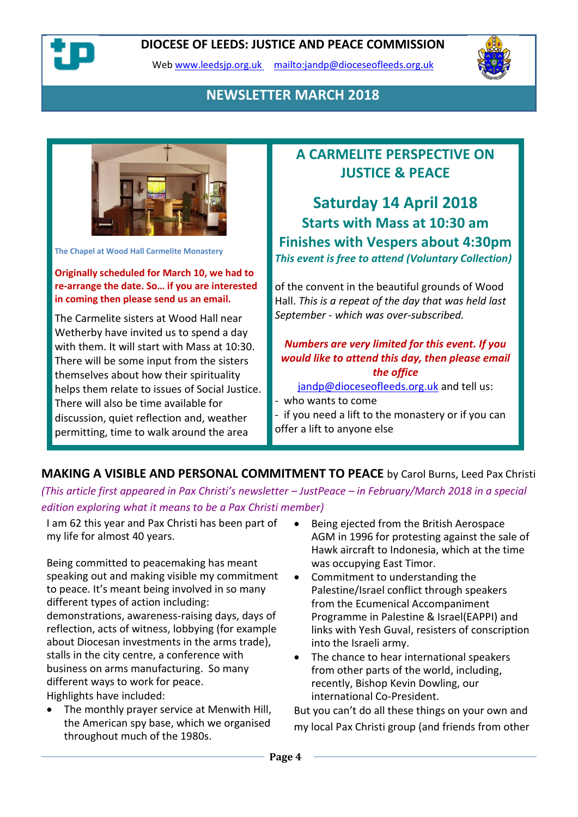

Web [www.leedsjp.org.uk](http://www.leedsjp.org.uk/) <mailto:jandp@dioceseofleeds.org.uk>



## **NEWSLETTER MARCH 2018**



**The Chapel at Wood Hall Carmelite Monastery**

**Originally scheduled for March 10, we had to re-arrange the date. So… if you are interested in coming then please send us an email.**

The Carmelite sisters at Wood Hall near Wetherby have invited us to spend a day with them. It will start with Mass at 10:30. There will be some input from the sisters themselves about how their spirituality helps them relate to issues of Social Justice. There will also be time available for discussion, quiet reflection and, weather permitting, time to walk around the area

# **A CARMELITE PERSPECTIVE ON JUSTICE & PEACE**

**Saturday 14 April 2018 Starts with Mass at 10:30 am Finishes with Vespers about 4:30pm** *This event is free to attend (Voluntary Collection)*

of the convent in the beautiful grounds of Wood Hall. *This is a repeat of the day that was held last September - which was over-subscribed.*

#### *Numbers are very limited for this event. If you would like to attend this day, then please email the office*

[jandp@dioceseofleeds.org.uk](mailto:jandp@dioceseofleeds.org.uk) and tell us:

- who wants to come

- if you need a lift to the monastery or if you can offer a lift to anyone else

**MAKING A VISIBLE AND PERSONAL COMMITMENT TO PEACE** by Carol Burns, Leed Pax Christi *(This article first appeared in Pax Christi's newsletter – JustPeace – in February/March 2018 in a special* 

*edition exploring what it means to be a Pax Christi member)*

I am 62 this year and Pax Christi has been part of my life for almost 40 years.

Being committed to peacemaking has meant speaking out and making visible my commitment to peace. It's meant being involved in so many different types of action including: demonstrations, awareness-raising days, days of reflection, acts of witness, lobbying (for example about Diocesan investments in the arms trade), stalls in the city centre, a conference with business on arms manufacturing. So many different ways to work for peace. Highlights have included:

• The monthly prayer service at Menwith Hill, the American spy base, which we organised throughout much of the 1980s.

- Being ejected from the British Aerospace AGM in 1996 for protesting against the sale of Hawk aircraft to Indonesia, which at the time was occupying East Timor.
- Commitment to understanding the Palestine/Israel conflict through speakers from the Ecumenical Accompaniment Programme in Palestine & Israel(EAPPI) and links with Yesh Guval, resisters of conscription into the Israeli army.
- The chance to hear international speakers from other parts of the world, including, recently, Bishop Kevin Dowling, our international Co-President.

But you can't do all these things on your own and my local Pax Christi group (and friends from other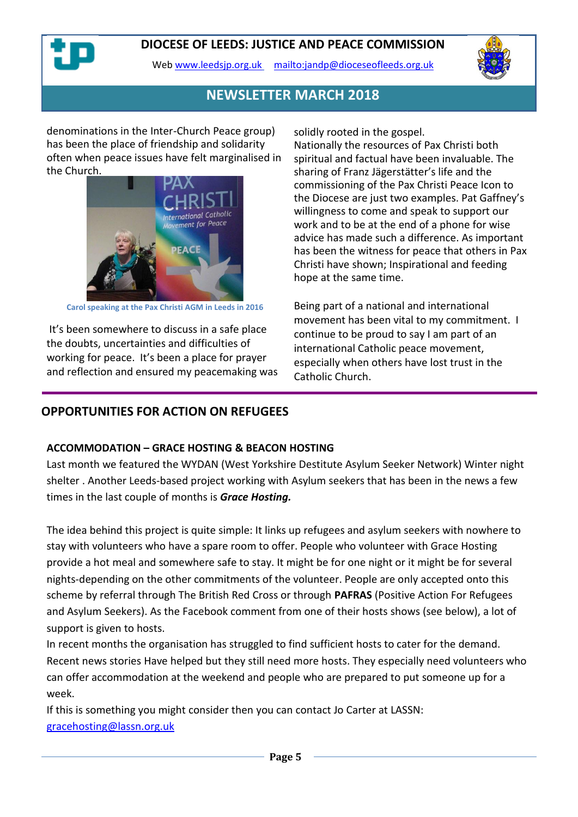

Web [www.leedsjp.org.uk](http://www.leedsjp.org.uk/) <mailto:jandp@dioceseofleeds.org.uk>



### **NEWSLETTER MARCH 2018**

denominations in the Inter-Church Peace group) has been the place of friendship and solidarity often when peace issues have felt marginalised in the Church.



**Carol speaking at the Pax Christi AGM in Leeds in 2016**

It's been somewhere to discuss in a safe place the doubts, uncertainties and difficulties of working for peace. It's been a place for prayer and reflection and ensured my peacemaking was solidly rooted in the gospel.

Nationally the resources of Pax Christi both spiritual and factual have been invaluable. The sharing of Franz Jägerstätter's life and the commissioning of the Pax Christi Peace Icon to the Diocese are just two examples. Pat Gaffney's willingness to come and speak to support our work and to be at the end of a phone for wise advice has made such a difference. As important has been the witness for peace that others in Pax Christi have shown; Inspirational and feeding hope at the same time.

Being part of a national and international movement has been vital to my commitment. I continue to be proud to say I am part of an international Catholic peace movement, especially when others have lost trust in the Catholic Church.

### **OPPORTUNITIES FOR ACTION ON REFUGEES**

#### **ACCOMMODATION – GRACE HOSTING & BEACON HOSTING**

Last month we featured the WYDAN (West Yorkshire Destitute Asylum Seeker Network) Winter night shelter . Another Leeds-based project working with Asylum seekers that has been in the news a few times in the last couple of months is *Grace Hosting.* 

The idea behind this project is quite simple: It links up refugees and asylum seekers with nowhere to stay with volunteers who have a spare room to offer. People who volunteer with Grace Hosting provide a hot meal and somewhere safe to stay. It might be for one night or it might be for several nights-depending on the other commitments of the volunteer. People are only accepted onto this scheme by referral through The British Red Cross or through **PAFRAS** (Positive Action For Refugees and Asylum Seekers). As the Facebook comment from one of their hosts shows (see below), a lot of support is given to hosts.

In recent months the organisation has struggled to find sufficient hosts to cater for the demand. Recent news stories Have helped but they still need more hosts. They especially need volunteers who can offer accommodation at the weekend and people who are prepared to put someone up for a week.

If this is something you might consider then you can contact Jo Carter at LASSN: [gracehosting@lassn.org.uk](mailto:gracehosting@lassn.org.uk)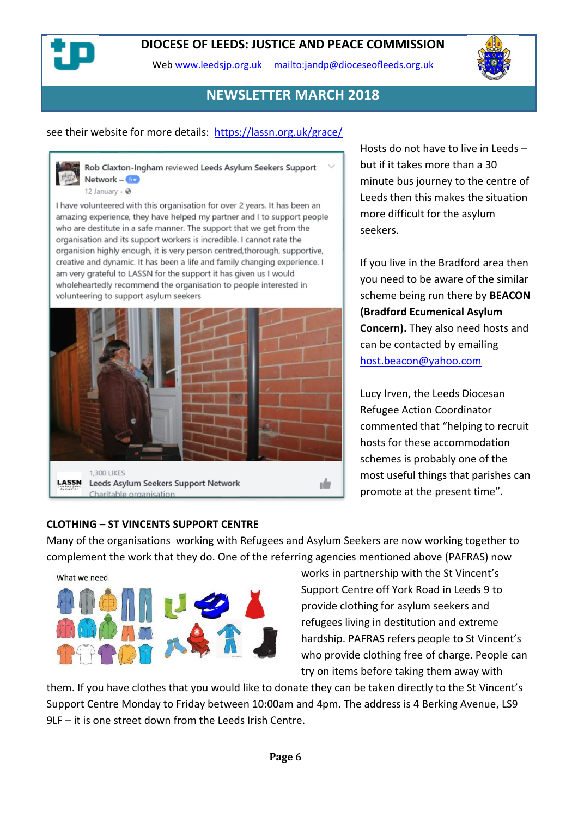Web [www.leedsjp.org.uk](http://www.leedsjp.org.uk/) <mailto:jandp@dioceseofleeds.org.uk>



### **NEWSLETTER MARCH 2018**

#### see their website for more details: <https://lassn.org.uk/grace/>

Rob Claxton-Ingham reviewed Leeds Asylum Seekers Support Network  $5x$ 12 January -  $\Theta$ 

I have volunteered with this organisation for over 2 years. It has been an amazing experience, they have helped my partner and I to support people who are destitute in a safe manner. The support that we get from the organisation and its support workers is incredible. I cannot rate the organision highly enough, it is very person centred, thorough, supportive, creative and dynamic. It has been a life and family changing experience. I am very grateful to LASSN for the support it has given us I would wholeheartedly recommend the organisation to people interested in volunteering to support asylum seekers



Hosts do not have to live in Leeds – but if it takes more than a 30 minute bus journey to the centre of Leeds then this makes the situation more difficult for the asylum seekers.

If you live in the Bradford area then you need to be aware of the similar scheme being run there by **BEACON (Bradford Ecumenical Asylum Concern).** They also need hosts and can be contacted by emailing [host.beacon@yahoo.com](mailto:host.beacon@yahoo.com)

Lucy Irven, the Leeds Diocesan Refugee Action Coordinator commented that "helping to recruit hosts for these accommodation schemes is probably one of the most useful things that parishes can promote at the present time".

#### **CLOTHING – ST VINCENTS SUPPORT CENTRE**

Many of the organisations working with Refugees and Asylum Seekers are now working together to complement the work that they do. One of the referring agencies mentioned above (PAFRAS) now



works in partnership with the St Vincent's Support Centre off York Road in Leeds 9 to provide clothing for asylum seekers and refugees living in destitution and extreme hardship. PAFRAS refers people to St Vincent's who provide clothing free of charge. People can try on items before taking them away with

them. If you have clothes that you would like to donate they can be taken directly to the St Vincent's Support Centre Monday to Friday between 10:00am and 4pm. The address is 4 Berking Avenue, LS9 9LF – it is one street down from the Leeds Irish Centre.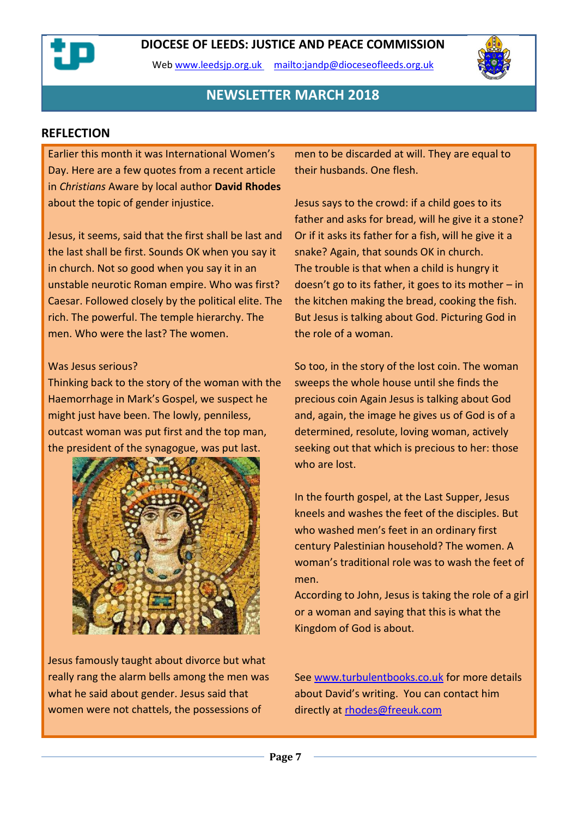Web [www.leedsjp.org.uk](http://www.leedsjp.org.uk/) <mailto:jandp@dioceseofleeds.org.uk>



### **NEWSLETTER MARCH 2018**

#### **REFLECTION**

Earlier this month it was International Women's Day. Here are a few quotes from a recent article in *Christians* Aware by local author **David Rhodes**  about the topic of gender injustice.

Jesus, it seems, said that the first shall be last and the last shall be first. Sounds OK when you say it in church. Not so good when you say it in an unstable neurotic Roman empire. Who was first? Caesar. Followed closely by the political elite. The rich. The powerful. The temple hierarchy. The men. Who were the last? The women.

#### Was Jesus serious?

Thinking back to the story of the woman with the Haemorrhage in Mark's Gospel, we suspect he might just have been. The lowly, penniless, outcast woman was put first and the top man, the president of the synagogue, was put last.



Jesus famously taught about divorce but what really rang the alarm bells among the men was what he said about gender. Jesus said that women were not chattels, the possessions of

men to be discarded at will. They are equal to their husbands. One flesh.

Jesus says to the crowd: if a child goes to its father and asks for bread, will he give it a stone? Or if it asks its father for a fish, will he give it a snake? Again, that sounds OK in church. The trouble is that when a child is hungry it doesn't go to its father, it goes to its mother – in the kitchen making the bread, cooking the fish. But Jesus is talking about God. Picturing God in the role of a woman.

So too, in the story of the lost coin. The woman sweeps the whole house until she finds the precious coin Again Jesus is talking about God and, again, the image he gives us of God is of a determined, resolute, loving woman, actively seeking out that which is precious to her: those who are lost.

In the fourth gospel, at the Last Supper, Jesus kneels and washes the feet of the disciples. But who washed men's feet in an ordinary first century Palestinian household? The women. A woman's traditional role was to wash the feet of men.

According to John, Jesus is taking the role of a girl or a woman and saying that this is what the Kingdom of God is about.

Se[e www.turbulentbooks.co.uk](http://www.turbulentbooks.co.uk/) for more details about David's writing. You can contact him directly at [rhodes@freeuk.com](https://dioceseofleeds-my.sharepoint.com/personal/jandp_dioceseofleeds_org_uk/Documents/Newsletters/2018-newsletters/2018-03/rhodes@freeuk.com)